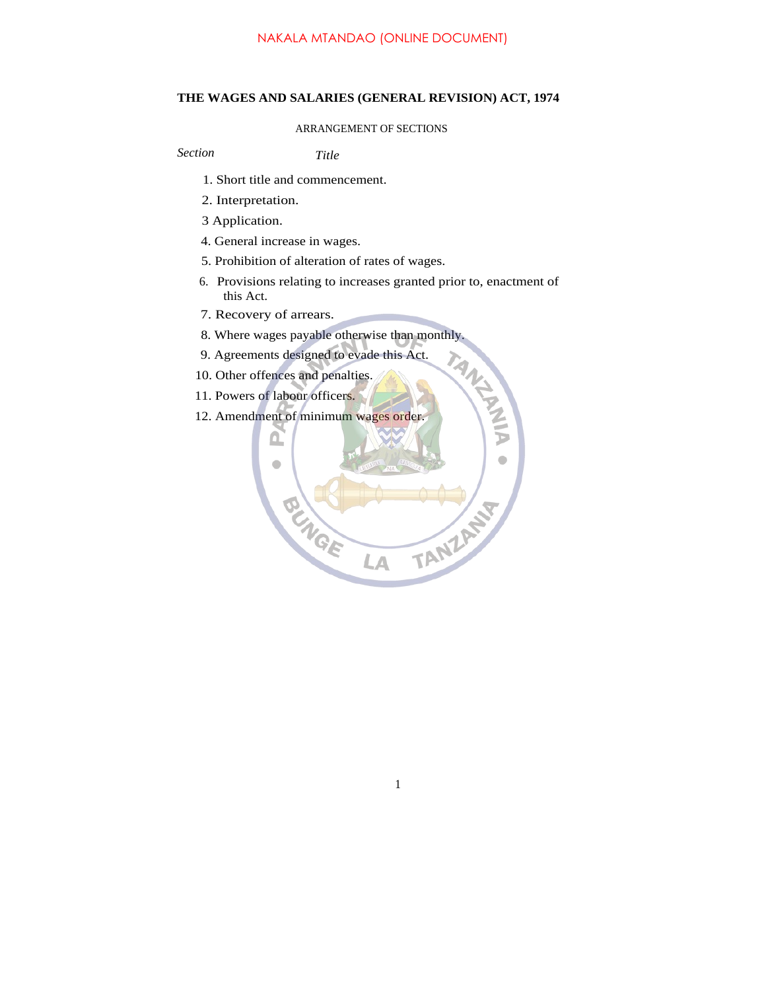## **THE WAGES AND SALARIES (GENERAL REVISION) ACT, 1974**

## ARRANGEMENT OF SECTIONS

*Section Title*

- 1. Short title and commencement.
- 2. Interpretation.
- 3 Application.
- 4. General increase in wages.
- 5. Prohibition of alteration of rates of wages.
- 6. Provisions relating to increases granted prior to, enactment of this Act.
- 7. Recovery of arrears.
- 8. Where wages payable otherwise than monthly.
- 9. Agreements designed to evade this Act.
- 10. Other offences and penalties.
- 11. Powers of labour officers.
- 12. Amendment of minimum wages order.



1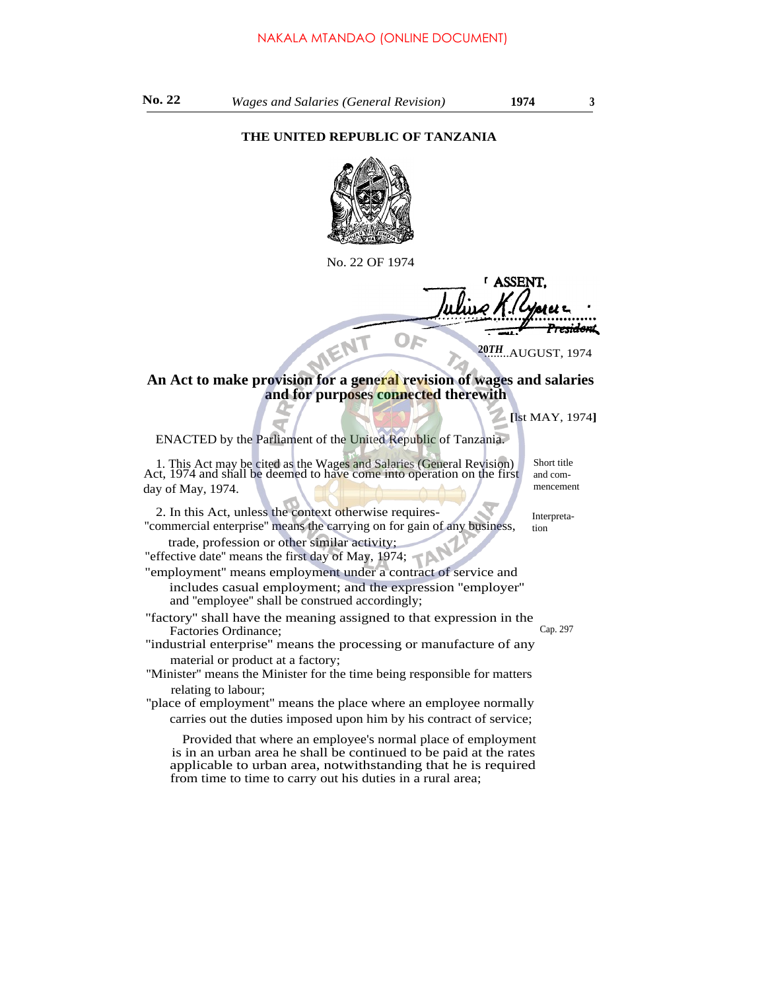## **THE UNITED REPUBLIC OF TANZANIA**



No. 22 OF 1974

**LASSEN** <del>rida</del>m OE

**20**........AUGUST, 1974 *TH*

## **An Act to make provision for a general revision of wages and salaries and for purposes connected therewith**

ENACTED by the Parliament of the United Republic of Tanzania.

1. This Act may be cited as the Wages and Salaries (General Revision) Act, 1974 and shall be deemed to have come into operation on the first day of May, 1974.

2. In this Act, unless the context otherwise requires- ''commercial enterprise'' means the carrying on for gain of any business,

trade, profession or other similar activity; "effective date'' means the first day of May, 1974;

"employment'' means employment under a contract of service and includes casual employment; and the expression ''employer'' and ''employee'' shall be construed accordingly;

''factory'' shall have the meaning assigned to that expression in the Factories Ordinance: Cap. 297

''industrial enterprise'' means the processing or manufacture of any material or product at a factory;

''Minister'' means the Minister for the time being responsible for matters relating to labour;

''place of employment'' means the place where an employee normally carries out the duties imposed upon him by his contract of service;

Provided that where an employee's normal place of employment is in an urban area he shall be continued to be paid at the rates applicable to urban area, notwithstanding that he is required from time to time to carry out his duties in a rural area;

Short title and commencement

**[**lst MAY, 1974**]**

Interpretation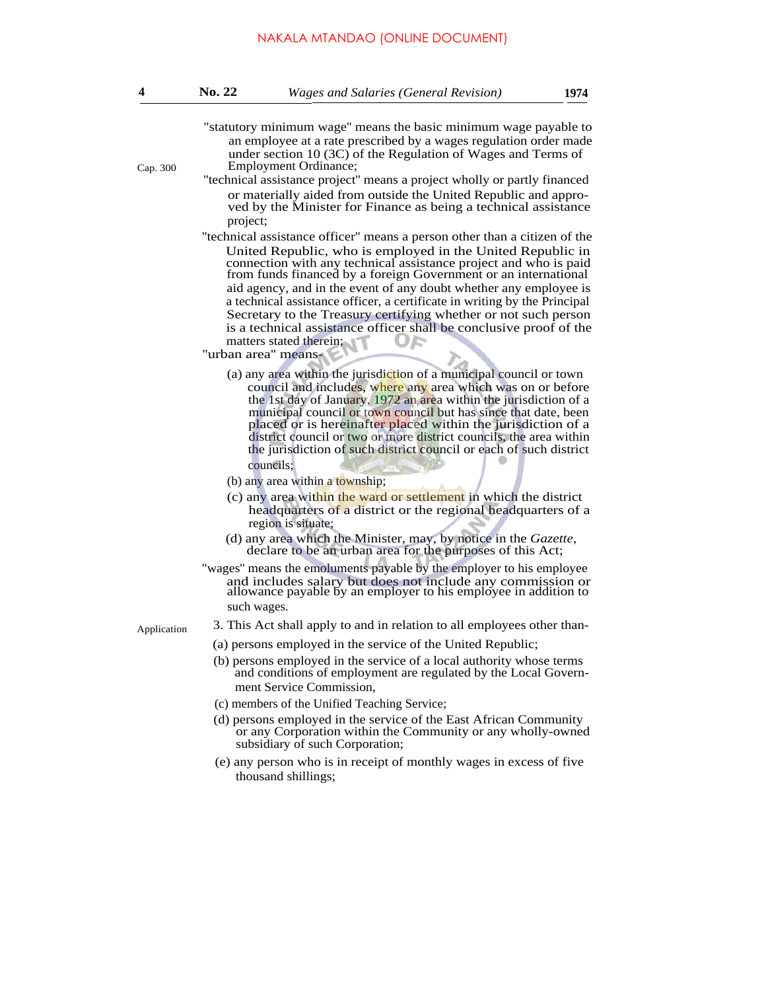| 4           | <b>No. 22</b>                                                                                                                                                                                                                                                                                                                                                                                                                                                                                                                                                                                                                                     | <b>Wages and Salaries (General Revision)</b>                                                                                                                                                                                                                                                                                                                                                                                                                                                                                                                                                                                                                                                                                                                                                                                                                                                                                                                                                                                                                      | 1974 |
|-------------|---------------------------------------------------------------------------------------------------------------------------------------------------------------------------------------------------------------------------------------------------------------------------------------------------------------------------------------------------------------------------------------------------------------------------------------------------------------------------------------------------------------------------------------------------------------------------------------------------------------------------------------------------|-------------------------------------------------------------------------------------------------------------------------------------------------------------------------------------------------------------------------------------------------------------------------------------------------------------------------------------------------------------------------------------------------------------------------------------------------------------------------------------------------------------------------------------------------------------------------------------------------------------------------------------------------------------------------------------------------------------------------------------------------------------------------------------------------------------------------------------------------------------------------------------------------------------------------------------------------------------------------------------------------------------------------------------------------------------------|------|
| Cap. 300    | project;                                                                                                                                                                                                                                                                                                                                                                                                                                                                                                                                                                                                                                          | "statutory minimum wage" means the basic minimum wage payable to<br>an employee at a rate prescribed by a wages regulation order made<br>under section $10(3C)$ of the Regulation of Wages and Terms of<br><b>Employment Ordinance;</b><br>"technical assistance project" means a project wholly or partly financed<br>or materially aided from outside the United Republic and appro-<br>ved by the Minister for Finance as being a technical assistance<br>"technical assistance officer" means a person other than a citizen of the<br>United Republic, who is employed in the United Republic in<br>connection with any technical assistance project and who is paid<br>from funds financed by a foreign Government or an international<br>aid agency, and in the event of any doubt whether any employee is<br>a technical assistance officer, a certificate in writing by the Principal<br>Secretary to the Treasury certifying whether or not such person<br>is a technical assistance officer shall be conclusive proof of the<br>matters stated therein; |      |
|             | "urban area" means-                                                                                                                                                                                                                                                                                                                                                                                                                                                                                                                                                                                                                               | (a) any area within the jurisdiction of a municipal council or town<br>council and includes, where any area which was on or before<br>the 1st day of January, 1972 an area within the jurisdiction of a<br>municipal council or town council but has since that date, been<br>placed or is hereinafter placed within the jurisdiction of a<br>district council or two or more district councils, the area within<br>the jurisdiction of such district council or each of such district<br>councils:<br>(b) any area within a township;<br>(c) any area within the ward or settlement in which the district<br>headquarters of a district or the regional headquarters of a<br>region is situate;<br>(d) any area which the Minister, may, by notice in the Gazette,<br>declare to be an urban area for the purposes of this Act;<br>"wages" means the emoluments payable by the employer to his employee<br>and includes salary but does not include any commission or allowance payable by an employer to his employee in addition to                            |      |
| Application | such wages.<br>3. This Act shall apply to and in relation to all employees other than-<br>(a) persons employed in the service of the United Republic;<br>(b) persons employed in the service of a local authority whose terms<br>and conditions of employment are regulated by the Local Govern-<br>ment Service Commission,<br>(c) members of the Unified Teaching Service;<br>(d) persons employed in the service of the East African Community<br>or any Corporation within the Community or any wholly-owned<br>subsidiary of such Corporation;<br>(e) any person who is in receipt of monthly wages in excess of five<br>thousand shillings; |                                                                                                                                                                                                                                                                                                                                                                                                                                                                                                                                                                                                                                                                                                                                                                                                                                                                                                                                                                                                                                                                   |      |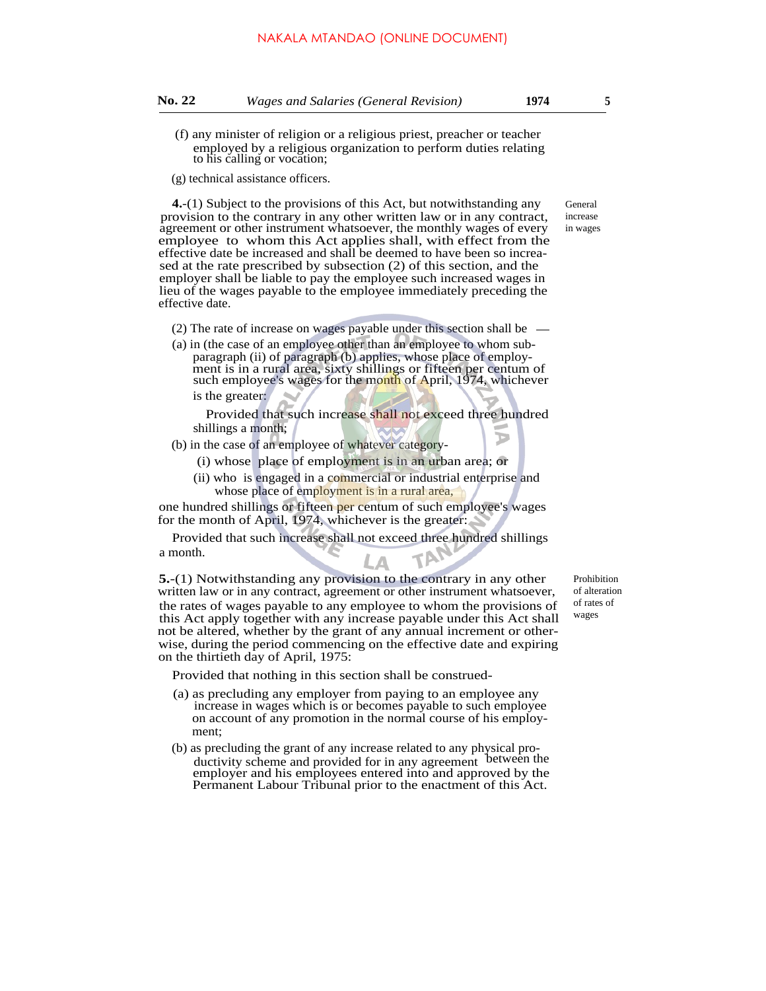- (f) any minister of religion or a religious priest, preacher or teacher employed by a religious organization to perform duties relating to his calling or vocation;
- (g) technical assistance officers.

**4.**-(1) Subject to the provisions of this Act, but notwithstanding any provision to the contrary in any other written law or in any contract, agreement or other instrument whatsoever, the monthly wages of every employee to whom this Act applies shall, with effect from the effective date be increased and shall be deemed to have been so increased at the rate prescribed by subsection (2) of this section, and the employer shall be liable to pay the employee such increased wages in lieu of the wages payable to the employee immediately preceding the effective date.

- (2) The rate of increase on wages payable under this section shall be
- (a) in (the case of an employee other than an employee to whom subparagraph (ii) of paragraph (b) applies, whose place of employment is in a rural area, sixty shillings or fifteen per centum of such employee's wages for the month of April, 1974, whichever is the greater:

Provided that such increase shall not exceed three hundred shillings a month; ъ

- (b) in the case of an employee of whatever category-
	- (i) whose place of employment is in an urban area; or
	- (ii) who is engaged in a commercial or industrial enterprise and whose place of employment is in a rural area,

one hundred shillings or fifteen per centum of such employee's wages for the month of April, 1974, whichever is the greater:

Provided that such increase shall not exceed three hundred shillings a month.

**5.**-(1) Notwithstanding any provision to the contrary in any other written law or in any contract, agreement or other instrument whatsoever, the rates of wages payable to any employee to whom the provisions of this Act apply together with any increase payable under this Act shall not be altered, whether by the grant of any annual increment or otherwise, during the period commencing on the effective date and expiring on the thirtieth day of April, 1975:

Provided that nothing in this section shall be construed-

- (a) as precluding any employer from paying to an employee any increase in wages which is or becomes payable to such employee on account of any promotion in the normal course of his employment;
- (b) as precluding the grant of any increase related to any physical productivity scheme and provided for in any agreement between the employer and his employees entered into and approved by the Permanent Labour Tribunal prior to the enactment of this Act.

Prohibition of alteration of rates of wages

General increase in wages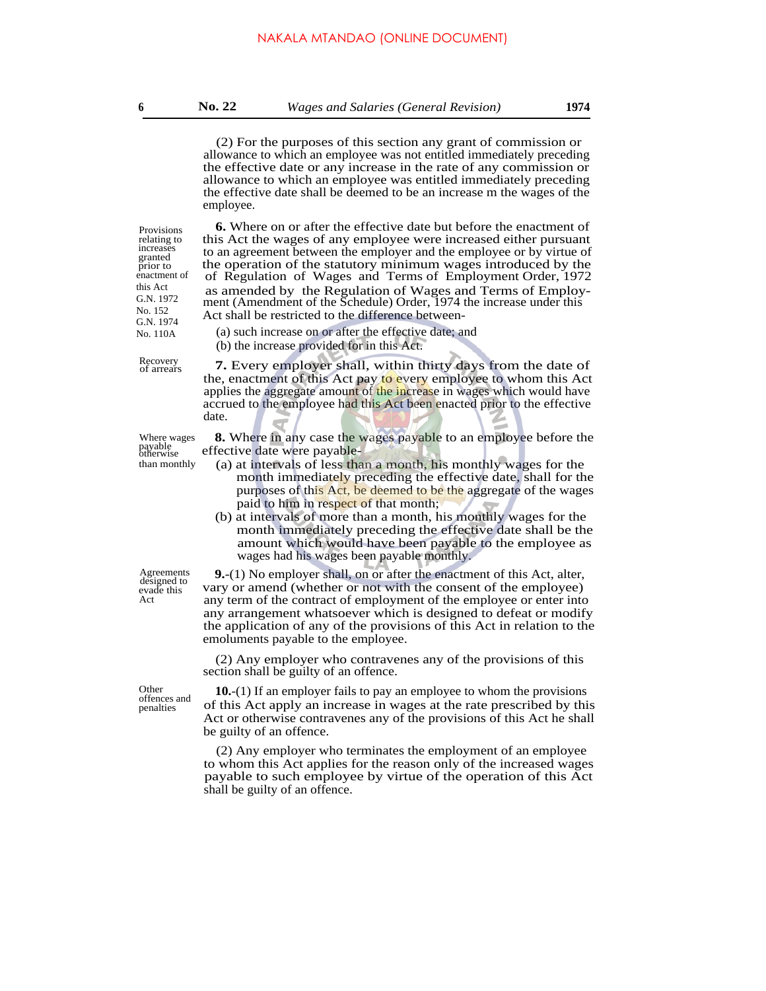**6 No. 22** *Wages and Salaries (General Revision)* **1974**

(2) For the purposes of this section any grant of commission or allowance to which an employee was not entitled immediately preceding the effective date or any increase in the rate of any commission or allowance to which an employee was entitled immediately preceding the effective date shall be deemed to be an increase m the wages of the employee.

**6.** Where on or after the effective date but before the enactment of this Act the wages of any employee were increased either pursuant to an agreement between the employer and the employee or by virtue of the operation of the statutory minimum wages introduced by the

 of Regulation of Wages and Terms of Employment Order, 1972 as amended by the Regulation of Wages and Terms of Employment (Amendment of the Schedule) Order, 1974 the increase under this

Act shall be restricted to the difference between- (a) such increase on or after the effective date; and

(b) the increase provided for in this Act.

Provisions relating to increases granted prior to enactment of this Act G.N. 1972 No. 152 G.N. 1974 No. 110A

of arrears

Recovery **7.** Every employer shall, within thirty days from the date of the, enactment of this Act pay to every employee to whom this Act applies the aggregate amount of the increase in wages which would have accrued to the employee had this Act been enacted prior to the effective date.

Where wages<br>payable<br>otherwise

designed to evade this Act

offences and penalties

**8.** Where in any case the wages payable to an employee before the effective date were payable-

- than monthly (a) at intervals of less than a month, his monthly wages for the month immediately preceding the effective date, shall for the purposes of this Act, be deemed to be the aggregate of the wages paid to him in respect of that month;
	- (b) at intervals of more than a month, his monthly wages for the month immediately preceding the effective date shall be the amount which would have been payable to the employee as wages had his wages been payable monthly.

Agreements **9.**-(1) No employer shall, on or after the enactment of this Act, alter, vary or amend (whether or not with the consent of the employee) any term of the contract of employment of the employee or enter into any arrangement whatsoever which is designed to defeat or modify the application of any of the provisions of this Act in relation to the emoluments payable to the employee.

> (2) Any employer who contravenes any of the provisions of this section shall be guilty of an offence.

Other **10.**-(1) If an employer fails to pay an employee to whom the provisions of this Act apply an increase in wages at the rate prescribed by this Act or otherwise contravenes any of the provisions of this Act he shall be guilty of an offence.

> (2) Any employer who terminates the employment of an employee to whom this Act applies for the reason only of the increased wages payable to such employee by virtue of the operation of this Act shall be guilty of an offence.